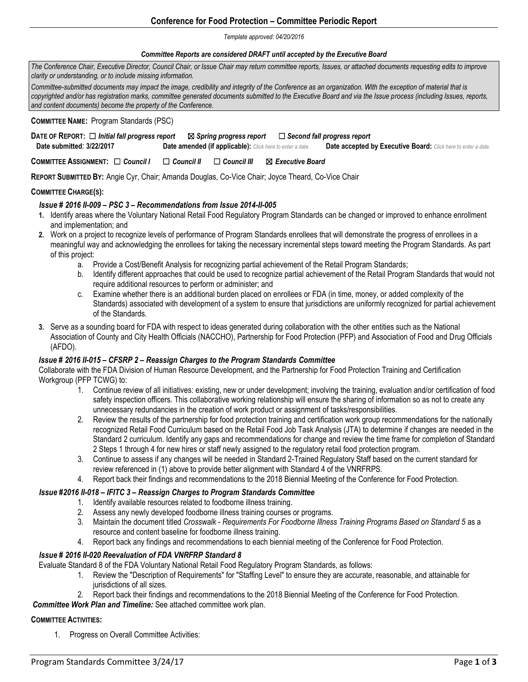# **Conference for Food Protection – Committee Periodic Report**

#### *Template approved: 04/20/2016*

### *Committee Reports are considered DRAFT until accepted by the Executive Board*

*The Conference Chair, Executive Director, Council Chair, or Issue Chair may return committee reports, Issues, or attached documents requesting edits to improve clarity or understanding, or to include missing information.* 

*Committee-submitted documents may impact the image, credibility and integrity of the Conference as an organization. With the exception of material that is copyrighted and/or has registration marks, committee generated documents submitted to the Executive Board and via the Issue process (including Issues, reports, and content documents) become the property of the Conference.*

### **COMMITTEE NAME:** Program Standards (PSC)

| DATE OF REPORT: □ Initial fall progress report |                                                                  |  | $\boxtimes$ Spring progress report $\quad \  \  \Box$ Second fall progress report |
|------------------------------------------------|------------------------------------------------------------------|--|-----------------------------------------------------------------------------------|
| Date submitted: 3/22/2017                      | <b>Date amended (if applicable):</b> Click here to enter a date. |  | <b>Date accepted by Executive Board:</b> Click here to enter a date.              |

**COMMITTEE ASSIGNMENT:** ☐ *Council I* ☐ *Council II* ☐ *Council III* ☒ *Executive Board* 

**REPORT SUBMITTED BY:** Angie Cyr, Chair; Amanda Douglas, Co-Vice Chair; Joyce Theard, Co-Vice Chair

### **COMMITTEE CHARGE(S):**

## *Issue # 2016 II-009 – PSC 3 – Recommendations from Issue 2014-II-005*

- **1.** Identify areas where the Voluntary National Retail Food Regulatory Program Standards can be changed or improved to enhance enrollment and implementation; and
- **2.** Work on a project to recognize levels of performance of Program Standards enrollees that will demonstrate the progress of enrollees in a meaningful way and acknowledging the enrollees for taking the necessary incremental steps toward meeting the Program Standards. As part of this project:
	- a. Provide a Cost/Benefit Analysis for recognizing partial achievement of the Retail Program Standards;
	- b. Identify different approaches that could be used to recognize partial achievement of the Retail Program Standards that would not require additional resources to perform or administer; and
	- c. Examine whether there is an additional burden placed on enrollees or FDA (in time, money, or added complexity of the Standards) associated with development of a system to ensure that jurisdictions are uniformly recognized for partial achievement of the Standards*.*
- **3.** Serve as a sounding board for FDA with respect to ideas generated during collaboration with the other entities such as the National Association of County and City Health Officials (NACCHO), Partnership for Food Protection (PFP) and Association of Food and Drug Officials (AFDO).

### *Issue # 2016 II-015 – CFSRP 2 – Reassign Charges to the Program Standards Committee*

Collaborate with the FDA Division of Human Resource Development, and the Partnership for Food Protection Training and Certification Workgroup (PFP TCWG) to:

- 1. Continue review of all initiatives: existing, new or under development; involving the training, evaluation and/or certification of food safety inspection officers. This collaborative working relationship will ensure the sharing of information so as not to create any unnecessary redundancies in the creation of work product or assignment of tasks/responsibilities.
- 2. Review the results of the partnership for food protection training and certification work group recommendations for the nationally recognized Retail Food Curriculum based on the Retail Food Job Task Analysis (JTA) to determine if changes are needed in the Standard 2 curriculum. Identify any gaps and recommendations for change and review the time frame for completion of Standard 2 Steps 1 through 4 for new hires or staff newly assigned to the regulatory retail food protection program.
- 3. Continue to assess if any changes will be needed in Standard 2-Trained Regulatory Staff based on the current standard for review referenced in (1) above to provide better alignment with Standard 4 of the VNRFRPS.
- 4. Report back their findings and recommendations to the 2018 Biennial Meeting of the Conference for Food Protection.

# *Issue #2016 II-018 – IFITC 3 – Reassign Charges to Program Standards Committee*

- 1. Identify available resources related to foodborne illness training.
- 2. Assess any newly developed foodborne illness training courses or programs.
- 3. Maintain the document titled *Crosswalk - Requirements For Foodborne Illness Training Programs Based on Standard 5* as a resource and content baseline for foodborne illness training.
- 4. Report back any findings and recommendations to each biennial meeting of the Conference for Food Protection.

# *Issue # 2016 II-020 Reevaluation of FDA VNRFRP Standard 8*

- Evaluate Standard 8 of the FDA Voluntary National Retail Food Regulatory Program Standards, as follows:
	- 1. Review the "Description of Requirements" for "Staffing Level" to ensure they are accurate, reasonable, and attainable for jurisdictions of all sizes.
	- 2. Report back their findings and recommendations to the 2018 Biennial Meeting of the Conference for Food Protection.

### *Committee Work Plan and Timeline:* See attached committee work plan.

### **COMMITTEE ACTIVITIES:**

1. Progress on Overall Committee Activities: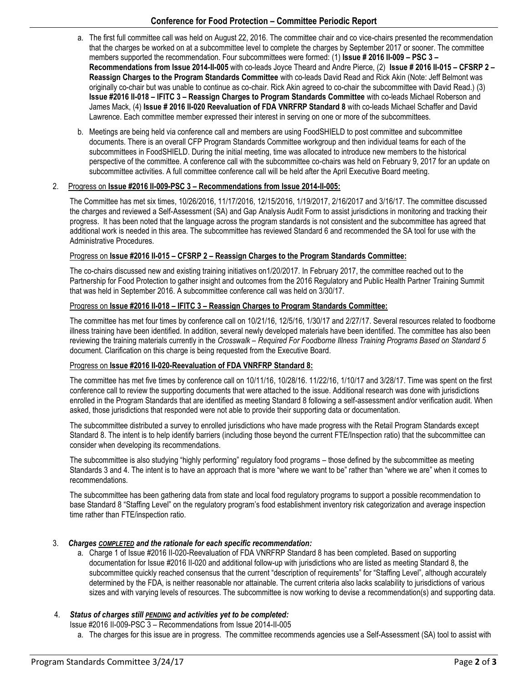# **Conference for Food Protection – Committee Periodic Report**

- a. The first full committee call was held on August 22, 2016. The committee chair and co vice-chairs presented the recommendation that the charges be worked on at a subcommittee level to complete the charges by September 2017 or sooner. The committee members supported the recommendation. Four subcommittees were formed: (1) **Issue # 2016 II-009 – PSC 3 – Recommendations from Issue 2014-II-005** with co-leads Joyce Theard and Andre Pierce, (2) **Issue # 2016 II-015 – CFSRP 2 – Reassign Charges to the Program Standards Committee** with co-leads David Read and Rick Akin (Note: Jeff Belmont was originally co-chair but was unable to continue as co-chair. Rick Akin agreed to co-chair the subcommittee with David Read.) (3) **Issue #2016 II-018 – IFITC 3 – Reassign Charges to Program Standards Committee** with co-leads Michael Roberson and James Mack, (4) **Issue # 2016 II-020 Reevaluation of FDA VNRFRP Standard 8** with co-leads Michael Schaffer and David Lawrence. Each committee member expressed their interest in serving on one or more of the subcommittees.
- b. Meetings are being held via conference call and members are using FoodSHIELD to post committee and subcommittee documents. There is an overall CFP Program Standards Committee workgroup and then individual teams for each of the subcommittees in FoodSHIELD. During the initial meeting, time was allocated to introduce new members to the historical perspective of the committee. A conference call with the subcommittee co-chairs was held on February 9, 2017 for an update on subcommittee activities. A full committee conference call will be held after the April Executive Board meeting.

## 2. Progress on **Issue #2016 II-009-PSC 3 – Recommendations from Issue 2014-II-005:**

The Committee has met six times, 10/26/2016, 11/17/2016, 12/15/2016, 1/19/2017, 2/16/2017 and 3/16/17. The committee discussed the charges and reviewed a Self-Assessment (SA) and Gap Analysis Audit Form to assist jurisdictions in monitoring and tracking their progress. It has been noted that the language across the program standards is not consistent and the subcommittee has agreed that additional work is needed in this area. The subcommittee has reviewed Standard 6 and recommended the SA tool for use with the Administrative Procedures.

## Progress on **Issue #2016 II-015 – CFSRP 2 – Reassign Charges to the Program Standards Committee:**

The co-chairs discussed new and existing training initiatives on1/20/2017. In February 2017, the committee reached out to the Partnership for Food Protection to gather insight and outcomes from the 2016 Regulatory and Public Health Partner Training Summit that was held in September 2016. A subcommittee conference call was held on 3/30/17.

## Progress on **Issue #2016 II-018 – IFITC 3 – Reassign Charges to Program Standards Committee:**

The committee has met four times by conference call on 10/21/16, 12/5/16, 1/30/17 and 2/27/17. Several resources related to foodborne illness training have been identified. In addition, several newly developed materials have been identified. The committee has also been reviewing the training materials currently in the *Crosswalk – Required For Foodborne Illness Training Programs Based on Standard 5* document. Clarification on this charge is being requested from the Executive Board.

### Progress on **Issue #2016 II-020-Reevaluation of FDA VNRFRP Standard 8:**

The committee has met five times by conference call on 10/11/16, 10/28/16. 11/22/16, 1/10/17 and 3/28/17. Time was spent on the first conference call to review the supporting documents that were attached to the issue. Additional research was done with jurisdictions enrolled in the Program Standards that are identified as meeting Standard 8 following a self-assessment and/or verification audit. When asked, those jurisdictions that responded were not able to provide their supporting data or documentation.

The subcommittee distributed a survey to enrolled jurisdictions who have made progress with the Retail Program Standards except Standard 8. The intent is to help identify barriers (including those beyond the current FTE/Inspection ratio) that the subcommittee can consider when developing its recommendations.

The subcommittee is also studying "highly performing" regulatory food programs – those defined by the subcommittee as meeting Standards 3 and 4. The intent is to have an approach that is more "where we want to be" rather than "where we are" when it comes to recommendations.

The subcommittee has been gathering data from state and local food regulatory programs to support a possible recommendation to base Standard 8 "Staffing Level" on the regulatory program's food establishment inventory risk categorization and average inspection time rather than FTE/inspection ratio.

### 3. *Charges COMPLETED and the rationale for each specific recommendation:*

a. Charge 1 of Issue #2016 II-020-Reevaluation of FDA VNRFRP Standard 8 has been completed. Based on supporting documentation for Issue #2016 II-020 and additional follow-up with jurisdictions who are listed as meeting Standard 8, the subcommittee quickly reached consensus that the current "description of requirements" for "Staffing Level", although accurately determined by the FDA, is neither reasonable nor attainable. The current criteria also lacks scalability to jurisdictions of various sizes and with varying levels of resources. The subcommittee is now working to devise a recommendation(s) and supporting data.

# 4. *Status of charges still PENDING and activities yet to be completed:*

Issue #2016 II-009-PSC 3 – Recommendations from Issue 2014-II-005

a. The charges for this issue are in progress. The committee recommends agencies use a Self-Assessment (SA) tool to assist with